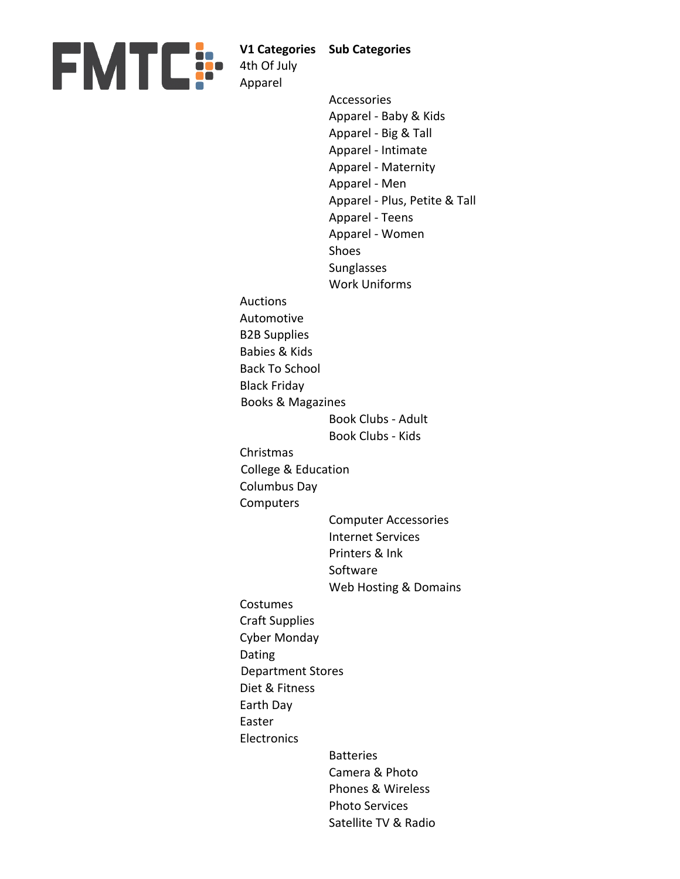

**V1 Categories Sub Categories**

4th Of July

Dating

Easter

Apparel Accessories Apparel - Baby & Kids Apparel - Big & Tall Apparel - Intimate Apparel - Maternity Apparel - Men Apparel - Plus, Petite & Tall Apparel - Teens Apparel - Women Shoes Sunglasses Work Uniforms Auctions Automotive B2B Supplies Babies & Kids Back To School Black Friday Book Clubs - Adult Book Clubs - Kids Christmas Columbus Day **Computers** Computer Accessories Internet Services Printers & Ink Software Web Hosting & Domains Costumes Craft Supplies Cyber Monday Diet & Fitness Earth Day **Electronics** Batteries Camera & Photo Phones & Wireless Photo Services Satellite TV & Radio Books & Magazines College & Education Department Stores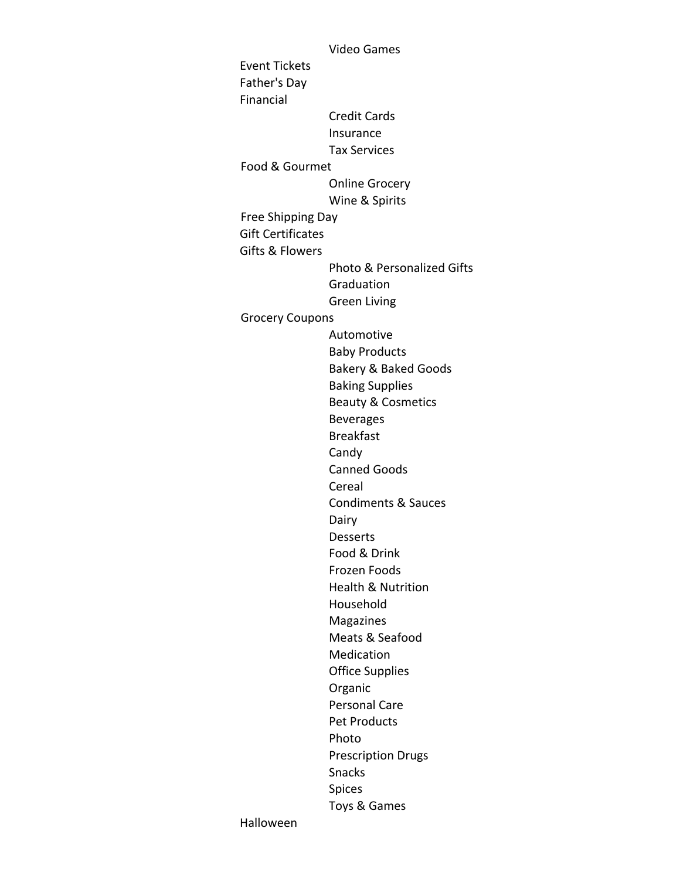Video Games Event Tickets Father's Day Financial Credit Cards Insurance Tax Services Online Grocery Wine & Spirits Gift Certificates Gifts & Flowers Photo & Personalized Gifts **Graduation** Green Living Automotive Baby Products Bakery & Baked Goods Baking Supplies Beauty & Cosmetics Beverages Breakfast Candy Canned Goods Cereal Condiments & Sauces Dairy Desserts Food & Drink Frozen Foods Health & Nutrition Household Magazines Meats & Seafood Medication Office Supplies Organic Personal Care Pet Products Photo Prescription Drugs Snacks Spices Toys & Games Food & Gourmet Free Shipping Day Grocery Coupons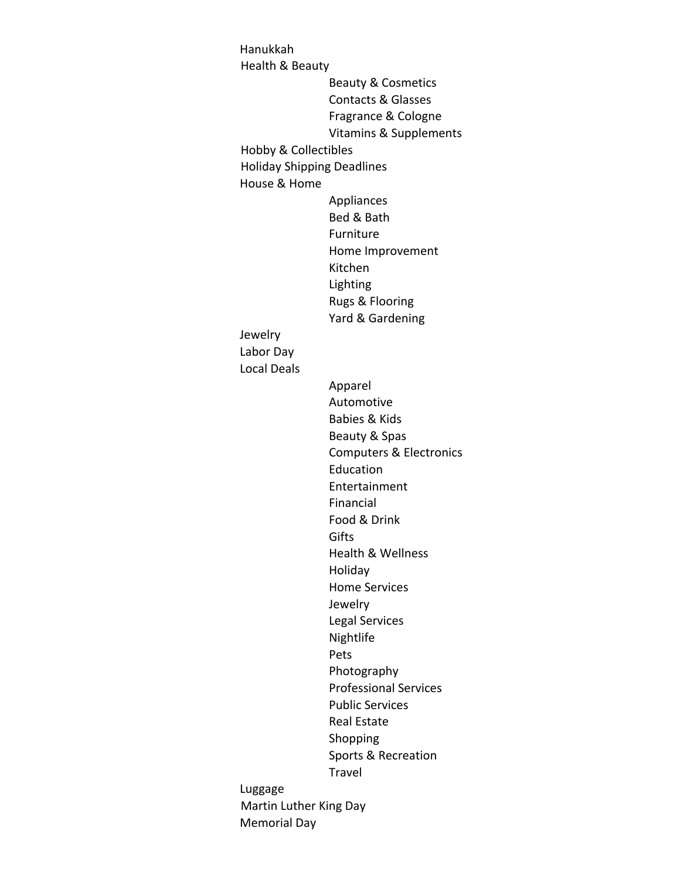Hanukkah Beauty & Cosmetics Contacts & Glasses Fragrance & Cologne Vitamins & Supplements House & Home Appliances Bed & Bath Furniture Home Improvement Kitchen Lighting Rugs & Flooring Yard & Gardening Jewelry Labor Day Local Deals Apparel Automotive Babies & Kids Beauty & Spas Computers & Electronics Education Entertainment Financial Food & Drink **Gifts** Health & Wellness Holiday Home Services Jewelry Legal Services Nightlife Pets Photography Professional Services Public Services Real Estate Shopping Sports & Recreation Travel Luggage Health & Beauty Hobby & Collectibles Holiday Shipping Deadlines Martin Luther King Day

Memorial Day